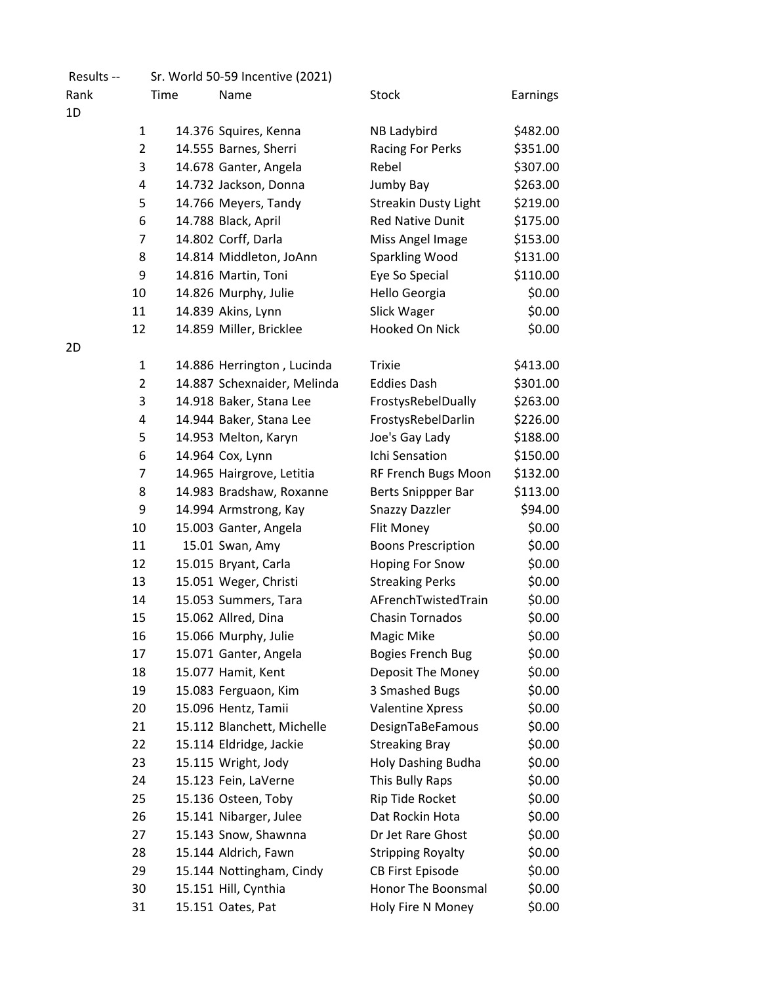| Results -- |                |      | Sr. World 50-59 Incentive (2021) |                             |          |
|------------|----------------|------|----------------------------------|-----------------------------|----------|
| Rank       |                | Time | Name                             | <b>Stock</b>                | Earnings |
| 1D         |                |      |                                  |                             |          |
|            | $\mathbf{1}$   |      | 14.376 Squires, Kenna            | <b>NB Ladybird</b>          | \$482.00 |
|            | $\overline{2}$ |      | 14.555 Barnes, Sherri            | Racing For Perks            | \$351.00 |
|            | 3              |      | 14.678 Ganter, Angela            | Rebel                       | \$307.00 |
|            | 4              |      | 14.732 Jackson, Donna            | Jumby Bay                   | \$263.00 |
|            | 5              |      | 14.766 Meyers, Tandy             | <b>Streakin Dusty Light</b> | \$219.00 |
|            | 6              |      | 14.788 Black, April              | <b>Red Native Dunit</b>     | \$175.00 |
|            | 7              |      | 14.802 Corff, Darla              | Miss Angel Image            | \$153.00 |
|            | 8              |      | 14.814 Middleton, JoAnn          | Sparkling Wood              | \$131.00 |
|            | 9              |      | 14.816 Martin, Toni              | Eye So Special              | \$110.00 |
|            | 10             |      | 14.826 Murphy, Julie             | Hello Georgia               | \$0.00   |
|            | 11             |      | 14.839 Akins, Lynn               | Slick Wager                 | \$0.00   |
|            | 12             |      | 14.859 Miller, Bricklee          | Hooked On Nick              | \$0.00   |
| 2D         |                |      |                                  |                             |          |
|            | 1              |      | 14.886 Herrington, Lucinda       | <b>Trixie</b>               | \$413.00 |
|            | $\overline{2}$ |      | 14.887 Schexnaider, Melinda      | <b>Eddies Dash</b>          | \$301.00 |
|            | 3              |      | 14.918 Baker, Stana Lee          | FrostysRebelDually          | \$263.00 |
|            | 4              |      | 14.944 Baker, Stana Lee          | FrostysRebelDarlin          | \$226.00 |
|            | 5              |      | 14.953 Melton, Karyn             | Joe's Gay Lady              | \$188.00 |
|            | 6              |      | 14.964 Cox, Lynn                 | Ichi Sensation              | \$150.00 |
|            | 7              |      | 14.965 Hairgrove, Letitia        | RF French Bugs Moon         | \$132.00 |
|            | 8              |      | 14.983 Bradshaw, Roxanne         | Berts Snippper Bar          | \$113.00 |
|            | 9              |      | 14.994 Armstrong, Kay            | <b>Snazzy Dazzler</b>       | \$94.00  |
|            | 10             |      | 15.003 Ganter, Angela            | Flit Money                  | \$0.00   |
|            | 11             |      | 15.01 Swan, Amy                  | <b>Boons Prescription</b>   | \$0.00   |
|            | 12             |      | 15.015 Bryant, Carla             | <b>Hoping For Snow</b>      | \$0.00   |
|            | 13             |      | 15.051 Weger, Christi            | <b>Streaking Perks</b>      | \$0.00   |
|            | 14             |      | 15.053 Summers, Tara             | AFrenchTwistedTrain         | \$0.00   |
|            | 15             |      | 15.062 Allred, Dina              | <b>Chasin Tornados</b>      | \$0.00   |
|            | 16             |      | 15.066 Murphy, Julie             | Magic Mike                  | \$0.00   |
|            | 17             |      | 15.071 Ganter, Angela            | <b>Bogies French Bug</b>    | \$0.00   |
|            | 18             |      | 15.077 Hamit, Kent               | Deposit The Money           | \$0.00   |
|            | 19             |      | 15.083 Ferguaon, Kim             | 3 Smashed Bugs              | \$0.00   |
|            | 20             |      | 15.096 Hentz, Tamii              | <b>Valentine Xpress</b>     | \$0.00   |
|            | 21             |      | 15.112 Blanchett, Michelle       | DesignTaBeFamous            | \$0.00   |
|            | 22             |      | 15.114 Eldridge, Jackie          | <b>Streaking Bray</b>       | \$0.00   |
|            | 23             |      | 15.115 Wright, Jody              | Holy Dashing Budha          | \$0.00   |
|            | 24             |      | 15.123 Fein, LaVerne             | This Bully Raps             | \$0.00   |
|            | 25             |      | 15.136 Osteen, Toby              | Rip Tide Rocket             | \$0.00   |
|            | 26             |      | 15.141 Nibarger, Julee           | Dat Rockin Hota             | \$0.00   |
|            | 27             |      | 15.143 Snow, Shawnna             | Dr Jet Rare Ghost           | \$0.00   |
|            | 28             |      | 15.144 Aldrich, Fawn             | <b>Stripping Royalty</b>    | \$0.00   |
|            | 29             |      | 15.144 Nottingham, Cindy         | <b>CB First Episode</b>     | \$0.00   |
|            | 30             |      | 15.151 Hill, Cynthia             | Honor The Boonsmal          | \$0.00   |
|            | 31             |      | 15.151 Oates, Pat                | Holy Fire N Money           | \$0.00   |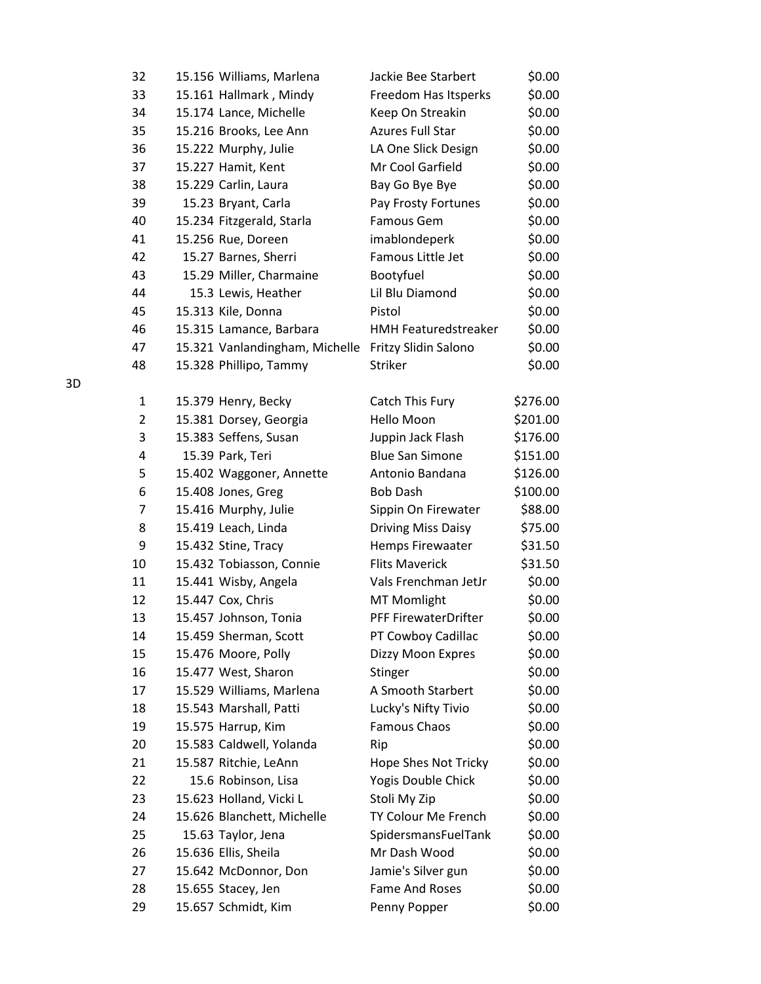| 32             | 15.156 Williams, Marlena       | Jackie Bee Starbert         | \$0.00   |
|----------------|--------------------------------|-----------------------------|----------|
| 33             | 15.161 Hallmark, Mindy         | Freedom Has Itsperks        | \$0.00   |
| 34             | 15.174 Lance, Michelle         | Keep On Streakin            | \$0.00   |
| 35             | 15.216 Brooks, Lee Ann         | <b>Azures Full Star</b>     | \$0.00   |
| 36             | 15.222 Murphy, Julie           | LA One Slick Design         | \$0.00   |
| 37             | 15.227 Hamit, Kent             | Mr Cool Garfield            | \$0.00   |
| 38             | 15.229 Carlin, Laura           | Bay Go Bye Bye              | \$0.00   |
| 39             | 15.23 Bryant, Carla            | Pay Frosty Fortunes         | \$0.00   |
| 40             | 15.234 Fitzgerald, Starla      | Famous Gem                  | \$0.00   |
| 41             | 15.256 Rue, Doreen             | imablondeperk               | \$0.00   |
| 42             | 15.27 Barnes, Sherri           | Famous Little Jet           | \$0.00   |
| 43             | 15.29 Miller, Charmaine        | Bootyfuel                   | \$0.00   |
| 44             | 15.3 Lewis, Heather            | Lil Blu Diamond             | \$0.00   |
| 45             | 15.313 Kile, Donna             | Pistol                      | \$0.00   |
| 46             | 15.315 Lamance, Barbara        | <b>HMH Featuredstreaker</b> | \$0.00   |
| 47             | 15.321 Vanlandingham, Michelle | Fritzy Slidin Salono        | \$0.00   |
| 48             | 15.328 Phillipo, Tammy         | Striker                     | \$0.00   |
|                |                                |                             |          |
| 1              | 15.379 Henry, Becky            | Catch This Fury             | \$276.00 |
| $\overline{2}$ | 15.381 Dorsey, Georgia         | Hello Moon                  | \$201.00 |
| 3              | 15.383 Seffens, Susan          | Juppin Jack Flash           | \$176.00 |
| 4              | 15.39 Park, Teri               | <b>Blue San Simone</b>      | \$151.00 |
| 5              | 15.402 Waggoner, Annette       | Antonio Bandana             | \$126.00 |
| 6              | 15.408 Jones, Greg             | <b>Bob Dash</b>             | \$100.00 |
| $\overline{7}$ | 15.416 Murphy, Julie           | Sippin On Firewater         | \$88.00  |
| 8              | 15.419 Leach, Linda            | <b>Driving Miss Daisy</b>   | \$75.00  |
| 9              | 15.432 Stine, Tracy            | Hemps Firewaater            | \$31.50  |
| 10             | 15.432 Tobiasson, Connie       | <b>Flits Maverick</b>       | \$31.50  |
| 11             | 15.441 Wisby, Angela           | Vals Frenchman JetJr        | \$0.00   |
| 12             | 15.447 Cox, Chris              | <b>MT Momlight</b>          | \$0.00   |
| 13             | 15.457 Johnson, Tonia          | PFF FirewaterDrifter        | \$0.00   |
| 14             | 15.459 Sherman, Scott          | PT Cowboy Cadillac          | \$0.00   |
| 15             | 15.476 Moore, Polly            | Dizzy Moon Expres           | \$0.00   |
| 16             | 15.477 West, Sharon            | Stinger                     | \$0.00   |
| 17             | 15.529 Williams, Marlena       | A Smooth Starbert           | \$0.00   |
| 18             | 15.543 Marshall, Patti         | Lucky's Nifty Tivio         | \$0.00   |
| 19             | 15.575 Harrup, Kim             | <b>Famous Chaos</b>         | \$0.00   |
| 20             | 15.583 Caldwell, Yolanda       | Rip                         | \$0.00   |
| 21             | 15.587 Ritchie, LeAnn          | Hope Shes Not Tricky        | \$0.00   |
| 22             | 15.6 Robinson, Lisa            | Yogis Double Chick          | \$0.00   |
| 23             | 15.623 Holland, Vicki L        | Stoli My Zip                | \$0.00   |
| 24             | 15.626 Blanchett, Michelle     | TY Colour Me French         | \$0.00   |
| 25             | 15.63 Taylor, Jena             | SpidersmansFuelTank         | \$0.00   |
| 26             | 15.636 Ellis, Sheila           | Mr Dash Wood                | \$0.00   |
| 27             | 15.642 McDonnor, Don           | Jamie's Silver gun          | \$0.00   |
| 28             | 15.655 Stacey, Jen             | Fame And Roses              | \$0.00   |
| 29             | 15.657 Schmidt, Kim            | Penny Popper                | \$0.00   |

3D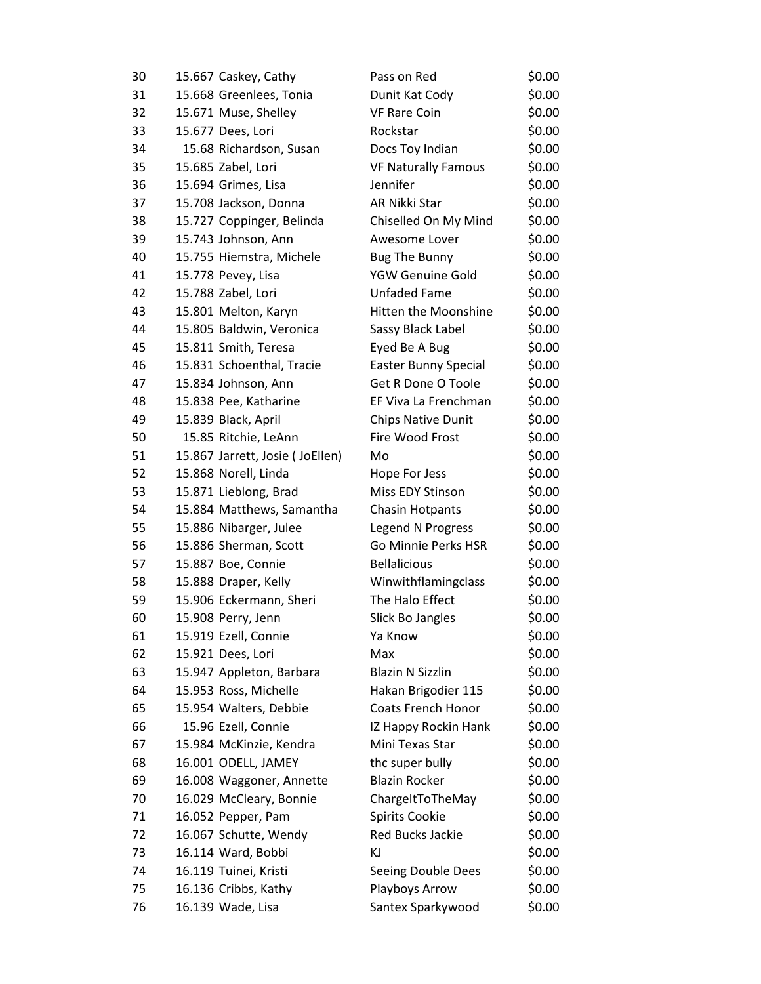| 30 | 15.667 Caskey, Cathy            | Pass on Red                 | \$0.00 |
|----|---------------------------------|-----------------------------|--------|
| 31 | 15.668 Greenlees, Tonia         | Dunit Kat Cody              | \$0.00 |
| 32 | 15.671 Muse, Shelley            | <b>VF Rare Coin</b>         | \$0.00 |
| 33 | 15.677 Dees, Lori               | Rockstar                    | \$0.00 |
| 34 | 15.68 Richardson, Susan         | Docs Toy Indian             | \$0.00 |
| 35 | 15.685 Zabel, Lori              | <b>VF Naturally Famous</b>  | \$0.00 |
| 36 | 15.694 Grimes, Lisa             | Jennifer                    | \$0.00 |
| 37 | 15.708 Jackson, Donna           | AR Nikki Star               | \$0.00 |
| 38 | 15.727 Coppinger, Belinda       | Chiselled On My Mind        | \$0.00 |
| 39 | 15.743 Johnson, Ann             | Awesome Lover               | \$0.00 |
| 40 | 15.755 Hiemstra, Michele        | <b>Bug The Bunny</b>        | \$0.00 |
| 41 | 15.778 Pevey, Lisa              | YGW Genuine Gold            | \$0.00 |
| 42 | 15.788 Zabel, Lori              | <b>Unfaded Fame</b>         | \$0.00 |
| 43 | 15.801 Melton, Karyn            | Hitten the Moonshine        | \$0.00 |
| 44 | 15.805 Baldwin, Veronica        | Sassy Black Label           | \$0.00 |
| 45 | 15.811 Smith, Teresa            | Eyed Be A Bug               | \$0.00 |
| 46 | 15.831 Schoenthal, Tracie       | <b>Easter Bunny Special</b> | \$0.00 |
| 47 | 15.834 Johnson, Ann             | Get R Done O Toole          | \$0.00 |
| 48 | 15.838 Pee, Katharine           | EF Viva La Frenchman        | \$0.00 |
| 49 | 15.839 Black, April             | <b>Chips Native Dunit</b>   | \$0.00 |
| 50 | 15.85 Ritchie, LeAnn            | Fire Wood Frost             | \$0.00 |
| 51 | 15.867 Jarrett, Josie (JoEllen) | Mo                          | \$0.00 |
| 52 | 15.868 Norell, Linda            | Hope For Jess               | \$0.00 |
| 53 | 15.871 Lieblong, Brad           | Miss EDY Stinson            | \$0.00 |
| 54 | 15.884 Matthews, Samantha       | <b>Chasin Hotpants</b>      | \$0.00 |
| 55 | 15.886 Nibarger, Julee          | Legend N Progress           | \$0.00 |
| 56 | 15.886 Sherman, Scott           | Go Minnie Perks HSR         | \$0.00 |
| 57 | 15.887 Boe, Connie              | <b>Bellalicious</b>         | \$0.00 |
| 58 | 15.888 Draper, Kelly            | Winwithflamingclass         | \$0.00 |
| 59 | 15.906 Eckermann, Sheri         | The Halo Effect             | \$0.00 |
| 60 | 15.908 Perry, Jenn              | Slick Bo Jangles            | \$0.00 |
| 61 | 15.919 Ezell, Connie            | Ya Know                     | \$0.00 |
| 62 | 15.921 Dees, Lori               | Max                         | \$0.00 |
| 63 | 15.947 Appleton, Barbara        | <b>Blazin N Sizzlin</b>     | \$0.00 |
| 64 | 15.953 Ross, Michelle           | Hakan Brigodier 115         | \$0.00 |
| 65 | 15.954 Walters, Debbie          | Coats French Honor          | \$0.00 |
| 66 | 15.96 Ezell, Connie             | IZ Happy Rockin Hank        | \$0.00 |
| 67 | 15.984 McKinzie, Kendra         | Mini Texas Star             | \$0.00 |
| 68 | 16.001 ODELL, JAMEY             | thc super bully             | \$0.00 |
| 69 | 16.008 Waggoner, Annette        | <b>Blazin Rocker</b>        | \$0.00 |
| 70 | 16.029 McCleary, Bonnie         | ChargeItToTheMay            | \$0.00 |
| 71 | 16.052 Pepper, Pam              | <b>Spirits Cookie</b>       | \$0.00 |
| 72 | 16.067 Schutte, Wendy           | <b>Red Bucks Jackie</b>     | \$0.00 |
| 73 | 16.114 Ward, Bobbi              | KJ                          | \$0.00 |
| 74 | 16.119 Tuinei, Kristi           | Seeing Double Dees          | \$0.00 |
| 75 | 16.136 Cribbs, Kathy            | Playboys Arrow              | \$0.00 |
| 76 | 16.139 Wade, Lisa               | Santex Sparkywood           | \$0.00 |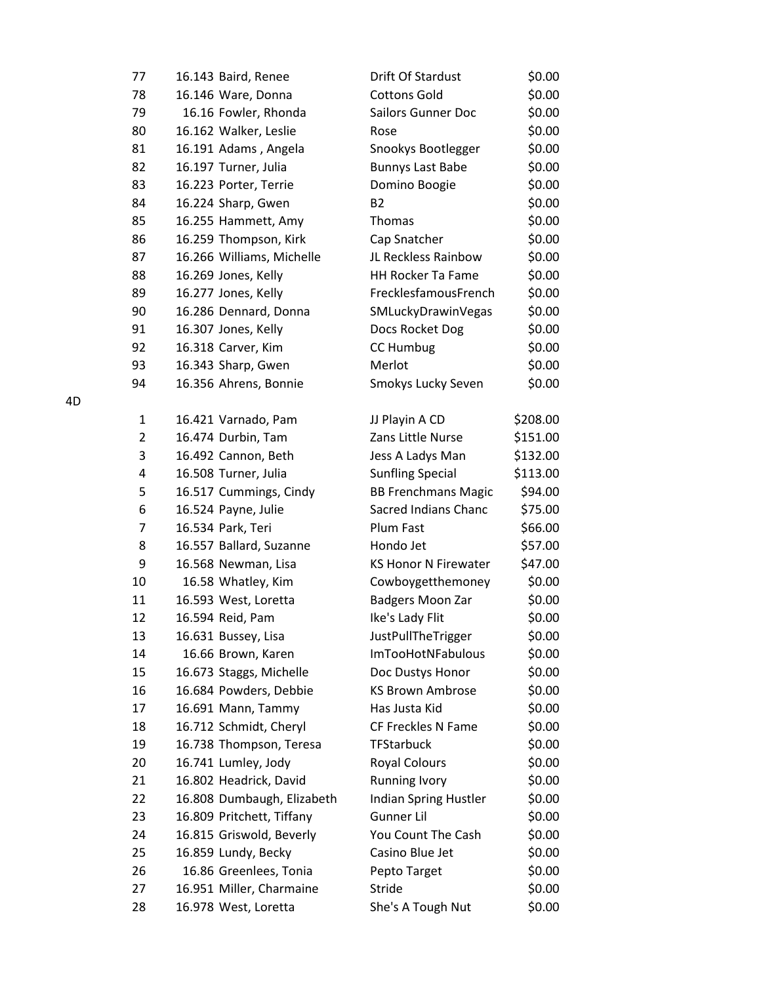| 77     |                   | 16.143 Baird, Renee        | Drift Of Stardust           | \$0.00   |
|--------|-------------------|----------------------------|-----------------------------|----------|
| 78     |                   | 16.146 Ware, Donna         | <b>Cottons Gold</b>         | \$0.00   |
| 79     |                   | 16.16 Fowler, Rhonda       | <b>Sailors Gunner Doc</b>   | \$0.00   |
| 80     |                   | 16.162 Walker, Leslie      | Rose                        | \$0.00   |
| 81     |                   | 16.191 Adams, Angela       | Snookys Bootlegger          | \$0.00   |
| 82     |                   | 16.197 Turner, Julia       | <b>Bunnys Last Babe</b>     | \$0.00   |
| 83     |                   | 16.223 Porter, Terrie      | Domino Boogie               | \$0.00   |
| 84     |                   | 16.224 Sharp, Gwen         | <b>B2</b>                   | \$0.00   |
| 85     |                   | 16.255 Hammett, Amy        | Thomas                      | \$0.00   |
| 86     |                   | 16.259 Thompson, Kirk      | Cap Snatcher                | \$0.00   |
| 87     |                   | 16.266 Williams, Michelle  | JL Reckless Rainbow         | \$0.00   |
| 88     |                   | 16.269 Jones, Kelly        | <b>HH Rocker Ta Fame</b>    | \$0.00   |
| 89     |                   | 16.277 Jones, Kelly        | FrecklesfamousFrench        | \$0.00   |
| 90     |                   | 16.286 Dennard, Donna      | SMLuckyDrawinVegas          | \$0.00   |
| 91     |                   | 16.307 Jones, Kelly        | Docs Rocket Dog             | \$0.00   |
| 92     |                   | 16.318 Carver, Kim         | CC Humbug                   | \$0.00   |
| 93     |                   | 16.343 Sharp, Gwen         | Merlot                      | \$0.00   |
| 94     |                   | 16.356 Ahrens, Bonnie      | Smokys Lucky Seven          | \$0.00   |
| 1      |                   | 16.421 Varnado, Pam        | JJ Playin A CD              | \$208.00 |
| 2      |                   | 16.474 Durbin, Tam         | Zans Little Nurse           | \$151.00 |
| 3      |                   | 16.492 Cannon, Beth        | Jess A Ladys Man            | \$132.00 |
| 4      |                   | 16.508 Turner, Julia       | <b>Sunfling Special</b>     | \$113.00 |
| 5      |                   | 16.517 Cummings, Cindy     | <b>BB Frenchmans Magic</b>  | \$94.00  |
| 6      |                   | 16.524 Payne, Julie        | Sacred Indians Chanc        | \$75.00  |
| 7      | 16.534 Park, Teri |                            | Plum Fast                   | \$66.00  |
| 8      |                   | 16.557 Ballard, Suzanne    | Hondo Jet                   | \$57.00  |
| 9      |                   | 16.568 Newman, Lisa        | <b>KS Honor N Firewater</b> | \$47.00  |
| $10\,$ |                   | 16.58 Whatley, Kim         | Cowboygetthemoney           | \$0.00   |
| 11     |                   | 16.593 West, Loretta       | Badgers Moon Zar            | \$0.00   |
| 12     | 16.594 Reid, Pam  |                            | Ike's Lady Flit             | \$0.00   |
| 13     |                   | 16.631 Bussey, Lisa        | <b>JustPullTheTrigger</b>   | \$0.00   |
| 14     |                   | 16.66 Brown, Karen         | <b>ImTooHotNFabulous</b>    | \$0.00   |
| 15     |                   | 16.673 Staggs, Michelle    | Doc Dustys Honor            | \$0.00   |
| 16     |                   | 16.684 Powders, Debbie     | <b>KS Brown Ambrose</b>     | \$0.00   |
| 17     |                   | 16.691 Mann, Tammy         | Has Justa Kid               | \$0.00   |
| 18     |                   | 16.712 Schmidt, Cheryl     | CF Freckles N Fame          | \$0.00   |
| 19     |                   | 16.738 Thompson, Teresa    | <b>TFStarbuck</b>           | \$0.00   |
| 20     |                   | 16.741 Lumley, Jody        | <b>Royal Colours</b>        | \$0.00   |
| 21     |                   | 16.802 Headrick, David     | <b>Running Ivory</b>        | \$0.00   |
| 22     |                   | 16.808 Dumbaugh, Elizabeth | Indian Spring Hustler       | \$0.00   |
| 23     |                   | 16.809 Pritchett, Tiffany  | Gunner Lil                  | \$0.00   |
| 24     |                   | 16.815 Griswold, Beverly   | You Count The Cash          | \$0.00   |
| 25     |                   | 16.859 Lundy, Becky        | Casino Blue Jet             | \$0.00   |
| 26     |                   | 16.86 Greenlees, Tonia     | Pepto Target                | \$0.00   |
| 27     |                   | 16.951 Miller, Charmaine   | Stride                      | \$0.00   |
| 28     |                   | 16.978 West, Loretta       | She's A Tough Nut           | \$0.00   |

4D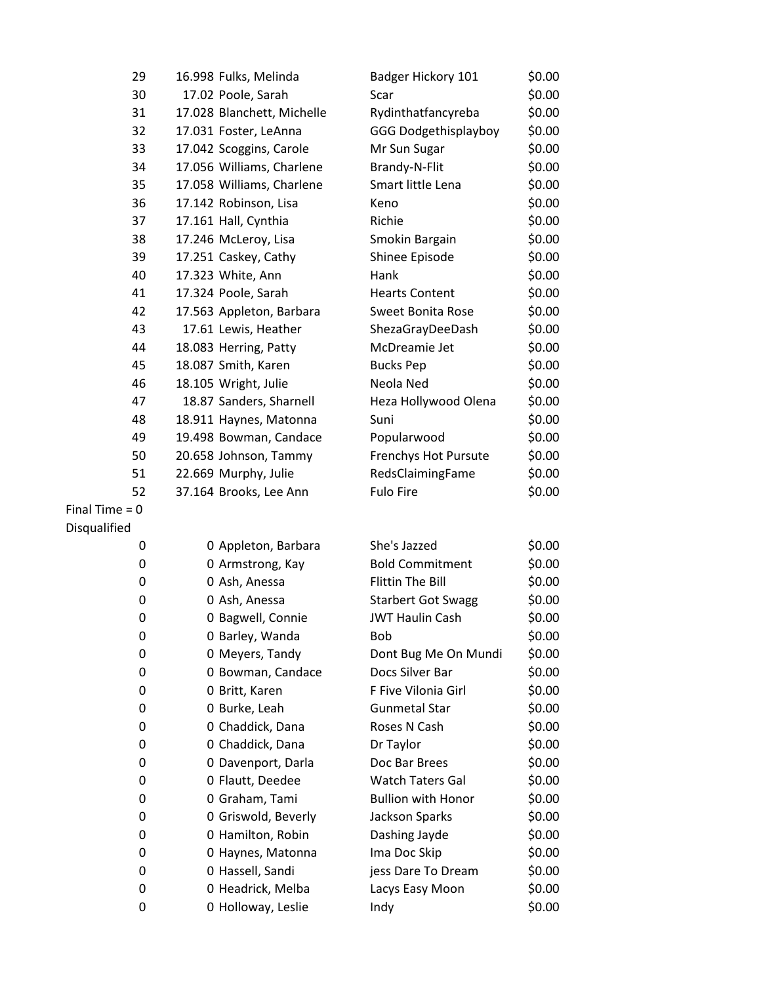| 29               | 16.998 Fulks, Melinda      | Badger Hickory 101          | \$0.00 |
|------------------|----------------------------|-----------------------------|--------|
| 30               | 17.02 Poole, Sarah         | Scar                        | \$0.00 |
| 31               | 17.028 Blanchett, Michelle | Rydinthatfancyreba          | \$0.00 |
| 32               | 17.031 Foster, LeAnna      | <b>GGG Dodgethisplayboy</b> | \$0.00 |
| 33               | 17.042 Scoggins, Carole    | Mr Sun Sugar                | \$0.00 |
| 34               | 17.056 Williams, Charlene  | Brandy-N-Flit               | \$0.00 |
| 35               | 17.058 Williams, Charlene  | Smart little Lena           | \$0.00 |
| 36               | 17.142 Robinson, Lisa      | Keno                        | \$0.00 |
| 37               | 17.161 Hall, Cynthia       | Richie                      | \$0.00 |
| 38               | 17.246 McLeroy, Lisa       | Smokin Bargain              | \$0.00 |
| 39               | 17.251 Caskey, Cathy       | Shinee Episode              | \$0.00 |
| 40               | 17.323 White, Ann          | Hank                        | \$0.00 |
| 41               | 17.324 Poole, Sarah        | <b>Hearts Content</b>       | \$0.00 |
| 42               | 17.563 Appleton, Barbara   | <b>Sweet Bonita Rose</b>    | \$0.00 |
| 43               | 17.61 Lewis, Heather       | ShezaGrayDeeDash            | \$0.00 |
| 44               | 18.083 Herring, Patty      | McDreamie Jet               | \$0.00 |
| 45               | 18.087 Smith, Karen        | <b>Bucks Pep</b>            | \$0.00 |
| 46               | 18.105 Wright, Julie       | Neola Ned                   | \$0.00 |
| 47               | 18.87 Sanders, Sharnell    | Heza Hollywood Olena        | \$0.00 |
| 48               | 18.911 Haynes, Matonna     | Suni                        | \$0.00 |
| 49               | 19.498 Bowman, Candace     | Popularwood                 | \$0.00 |
| 50               | 20.658 Johnson, Tammy      | Frenchys Hot Pursute        | \$0.00 |
| 51               | 22.669 Murphy, Julie       | RedsClaimingFame            | \$0.00 |
| 52               | 37.164 Brooks, Lee Ann     | <b>Fulo Fire</b>            | \$0.00 |
| Final Time = $0$ |                            |                             |        |
| Disqualified     |                            |                             |        |
| 0                | 0 Appleton, Barbara        | She's Jazzed                | \$0.00 |
| 0                | 0 Armstrong, Kay           | <b>Bold Commitment</b>      | \$0.00 |
| 0                | 0 Ash, Anessa              | <b>Flittin The Bill</b>     | \$0.00 |
| 0                | 0 Ash, Anessa              | <b>Starbert Got Swagg</b>   | \$0.00 |
| 0                | 0 Bagwell, Connie          | <b>JWT Haulin Cash</b>      | \$0.00 |
| 0                | 0 Barley, Wanda            | <b>Bob</b>                  | \$0.00 |
| 0                | 0 Meyers, Tandy            | Dont Bug Me On Mundi        | \$0.00 |
| 0                | 0 Bowman, Candace          | Docs Silver Bar             | \$0.00 |
| 0                | 0 Britt, Karen             | F Five Vilonia Girl         | \$0.00 |
| 0                | 0 Burke, Leah              | <b>Gunmetal Star</b>        | \$0.00 |
| 0                | 0 Chaddick, Dana           | Roses N Cash                | \$0.00 |
| 0                | 0 Chaddick, Dana           | Dr Taylor                   | \$0.00 |
| 0                | 0 Davenport, Darla         | Doc Bar Brees               | \$0.00 |
| 0                | 0 Flautt, Deedee           | <b>Watch Taters Gal</b>     | \$0.00 |
| 0                | 0 Graham, Tami             | <b>Bullion with Honor</b>   | \$0.00 |
| 0                | 0 Griswold, Beverly        | Jackson Sparks              | \$0.00 |
| 0                | 0 Hamilton, Robin          | Dashing Jayde               | \$0.00 |
| 0                | 0 Haynes, Matonna          | Ima Doc Skip                | \$0.00 |
| 0                | 0 Hassell, Sandi           | jess Dare To Dream          | \$0.00 |
| 0                | 0 Headrick, Melba          | Lacys Easy Moon             | \$0.00 |
| 0                | 0 Holloway, Leslie         | Indy                        | \$0.00 |